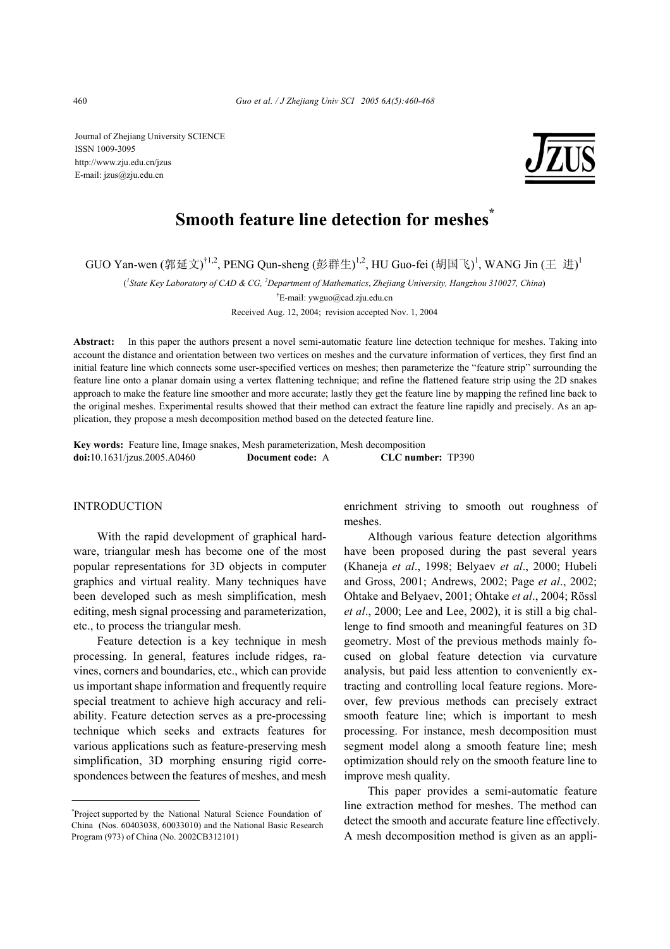Journal of Zhejiang University SCIENCE ISSN 1009-3095 http://www.zju.edu.cn/jzus E-mail: jzus@zju.edu.cn



# **Smooth feature line detection for meshes**<sup>\*</sup>

GUO Yan-wen (郭延文) $^{\dagger1,2}$ , PENG Qun-sheng (彭群生) $^{1,2}$ , HU Guo-fei (胡国飞) $^{1}$ , WANG Jin (王 进) $^{1}$ 

( *1 State Key Laboratory of CAD & CG, <sup>2</sup> Department of Mathematics*, *Zhejiang University, Hangzhou 310027, China*)

† E-mail: ywguo@cad.zju.edu.cn

Received Aug. 12, 2004; revision accepted Nov. 1, 2004

**Abstract:** In this paper the authors present a novel semi-automatic feature line detection technique for meshes. Taking into account the distance and orientation between two vertices on meshes and the curvature information of vertices, they first find an initial feature line which connects some user-specified vertices on meshes; then parameterize the "feature strip" surrounding the feature line onto a planar domain using a vertex flattening technique; and refine the flattened feature strip using the 2D snakes approach to make the feature line smoother and more accurate; lastly they get the feature line by mapping the refined line back to the original meshes. Experimental results showed that their method can extract the feature line rapidly and precisely. As an application, they propose a mesh decomposition method based on the detected feature line.

**Key words:** Feature line, Image snakes, Mesh parameterization, Mesh decomposition **doi:**10.1631/jzus.2005.A0460 **Document code:** A **CLC number:** TP390

## INTRODUCTION

With the rapid development of graphical hardware, triangular mesh has become one of the most popular representations for 3D objects in computer graphics and virtual reality. Many techniques have been developed such as mesh simplification, mesh editing, mesh signal processing and parameterization, etc., to process the triangular mesh.

Feature detection is a key technique in mesh processing. In general, features include ridges, ravines, corners and boundaries, etc., which can provide us important shape information and frequently require special treatment to achieve high accuracy and reliability. Feature detection serves as a pre-processing technique which seeks and extracts features for various applications such as feature-preserving mesh simplification, 3D morphing ensuring rigid correspondences between the features of meshes, and mesh enrichment striving to smooth out roughness of meshes.

Although various feature detection algorithms have been proposed during the past several years (Khaneja *et al*., 1998; Belyaev *et al*., 2000; Hubeli and Gross, 2001; Andrews, 2002; Page *et al*., 2002; Ohtake and Belyaev, 2001; Ohtake *et al*., 2004; Rössl *et al*., 2000; Lee and Lee, 2002), it is still a big challenge to find smooth and meaningful features on 3D geometry. Most of the previous methods mainly focused on global feature detection via curvature analysis, but paid less attention to conveniently extracting and controlling local feature regions. Moreover, few previous methods can precisely extract smooth feature line; which is important to mesh processing. For instance, mesh decomposition must segment model along a smooth feature line; mesh optimization should rely on the smooth feature line to improve mesh quality.

This paper provides a semi-automatic feature line extraction method for meshes. The method can detect the smooth and accurate feature line effectively. A mesh decomposition method is given as an appli-

<sup>\*</sup> Project supported by the National Natural Science Foundation of China (Nos. 60403038, 60033010) and the National Basic Research Program (973) of China (No. 2002CB312101)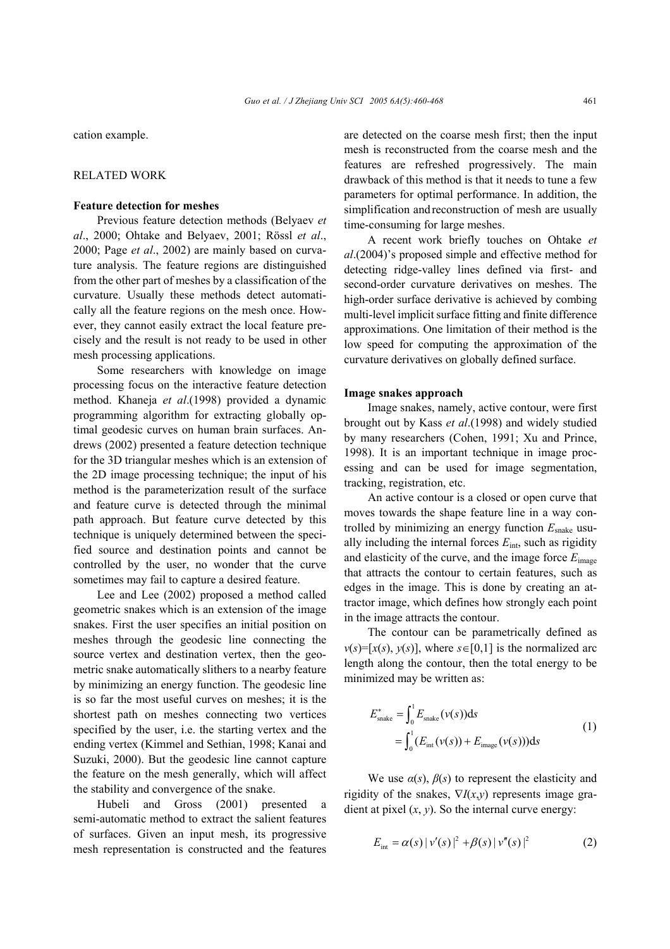cation example.

## RELATED WORK

## **Feature detection for meshes**

Previous feature detection methods (Belyaev *et al*., 2000; Ohtake and Belyaev, 2001; Rössl *et al*., 2000; Page *et al*., 2002) are mainly based on curvature analysis. The feature regions are distinguished from the other part of meshes by a classification of the curvature. Usually these methods detect automatically all the feature regions on the mesh once. However, they cannot easily extract the local feature precisely and the result is not ready to be used in other mesh processing applications.

Some researchers with knowledge on image processing focus on the interactive feature detection method. Khaneja *et al*.(1998) provided a dynamic programming algorithm for extracting globally optimal geodesic curves on human brain surfaces. Andrews (2002) presented a feature detection technique for the 3D triangular meshes which is an extension of the 2D image processing technique; the input of his method is the parameterization result of the surface and feature curve is detected through the minimal path approach. But feature curve detected by this technique is uniquely determined between the specified source and destination points and cannot be controlled by the user, no wonder that the curve sometimes may fail to capture a desired feature.

Lee and Lee (2002) proposed a method called geometric snakes which is an extension of the image snakes. First the user specifies an initial position on meshes through the geodesic line connecting the source vertex and destination vertex, then the geometric snake automatically slithers to a nearby feature by minimizing an energy function. The geodesic line is so far the most useful curves on meshes; it is the shortest path on meshes connecting two vertices specified by the user, i.e. the starting vertex and the ending vertex (Kimmel and Sethian, 1998; Kanai and Suzuki, 2000). But the geodesic line cannot capture the feature on the mesh generally, which will affect the stability and convergence of the snake.

Hubeli and Gross (2001) presented a semi-automatic method to extract the salient features of surfaces. Given an input mesh, its progressive mesh representation is constructed and the features are detected on the coarse mesh first; then the input mesh is reconstructed from the coarse mesh and the features are refreshed progressively. The main drawback of this method is that it needs to tune a few parameters for optimal performance. In addition, the simplification andreconstruction of mesh are usually time-consuming for large meshes.

A recent work briefly touches on Ohtake *et al*.(2004)'s proposed simple and effective method for detecting ridge-valley lines defined via first- and second-order curvature derivatives on meshes. The high-order surface derivative is achieved by combing multi-level implicit surface fitting and finite difference approximations. One limitation of their method is the low speed for computing the approximation of the curvature derivatives on globally defined surface.

# **Image snakes approach**

Image snakes, namely, active contour, were first brought out by Kass *et al*.(1998) and widely studied by many researchers (Cohen, 1991; Xu and Prince, 1998). It is an important technique in image processing and can be used for image segmentation, tracking, registration, etc.

An active contour is a closed or open curve that moves towards the shape feature line in a way controlled by minimizing an energy function *E*snake usually including the internal forces *E*int, such as rigidity and elasticity of the curve, and the image force *E*image that attracts the contour to certain features, such as edges in the image. This is done by creating an attractor image, which defines how strongly each point in the image attracts the contour.

The contour can be parametrically defined as  $v(s) = [x(s), y(s)]$ , where  $s \in [0,1]$  is the normalized arc length along the contour, then the total energy to be minimized may be written as:

$$
E_{\text{snake}}^* = \int_0^1 E_{\text{snake}}(\nu(s)) \, \mathrm{d}s
$$
\n
$$
= \int_0^1 (E_{\text{int}}(\nu(s)) + E_{\text{image}}(\nu(s))) \, \mathrm{d}s \tag{1}
$$

We use  $\alpha(s)$ ,  $\beta(s)$  to represent the elasticity and rigidity of the snakes,  $\nabla I(x,y)$  represents image gradient at pixel  $(x, y)$ . So the internal curve energy:

$$
E_{\text{int}} = \alpha(s) |v'(s)|^2 + \beta(s) |v''(s)|^2 \tag{2}
$$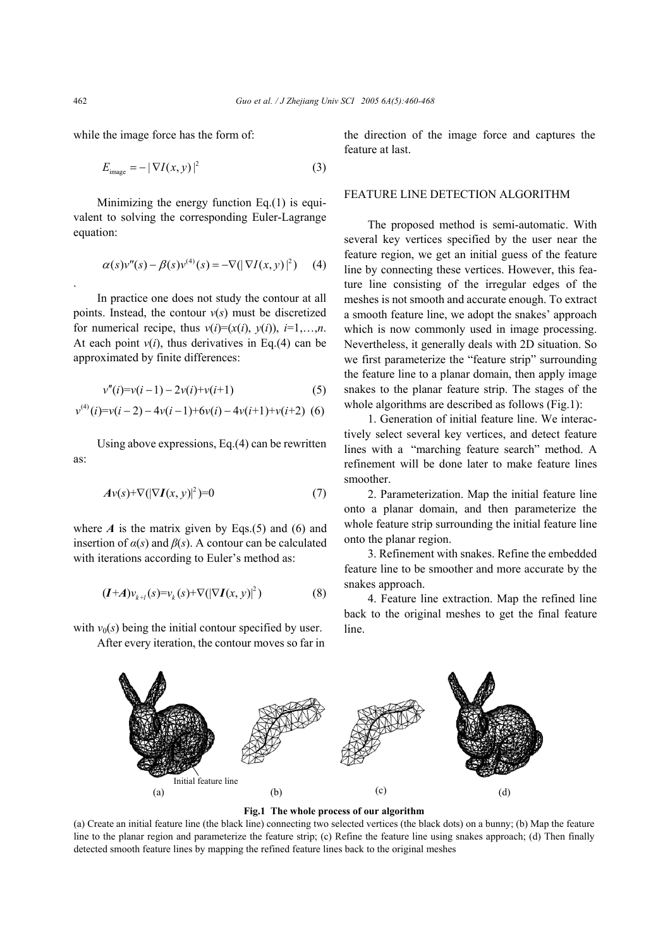while the image force has the form of:

$$
E_{\text{image}} = -|\nabla I(x, y)|^2 \tag{3}
$$

Minimizing the energy function  $Eq.(1)$  is equivalent to solving the corresponding Euler-Lagrange equation:

$$
\alpha(s)v''(s) - \beta(s)v^{(4)}(s) = -\nabla(|\nabla I(x, y)|^2)
$$
 (4)

In practice one does not study the contour at all points. Instead, the contour  $v(s)$  must be discretized for numerical recipe, thus  $v(i)=(x(i), y(i)), i=1,...,n$ . At each point  $v(i)$ , thus derivatives in Eq.(4) can be approximated by finite differences:

$$
v''(i)=v(i-1)-2v(i)+v(i+1)
$$
 (5)

$$
v^{(4)}(i)=v(i-2)-4v(i-1)+6v(i)-4v(i+1)+v(i+2)
$$
 (6)

Using above expressions, Eq.(4) can be rewritten as:

$$
Av(s) + \nabla (|\nabla I(x, y)|^2) = 0 \tag{7}
$$

where  $A$  is the matrix given by Eqs.(5) and (6) and insertion of  $\alpha(s)$  and  $\beta(s)$ . A contour can be calculated with iterations according to Euler's method as:

$$
(I+A)v_{k+l}(s) = v_k(s) + \nabla(|\nabla I(x, y)|^2)
$$
\n(8)

with  $v_0(s)$  being the initial contour specified by user. After every iteration, the contour moves so far in the direction of the image force and captures the feature at last.

## FEATURE LINE DETECTION ALGORITHM

The proposed method is semi-automatic. With several key vertices specified by the user near the feature region, we get an initial guess of the feature line by connecting these vertices. However, this feature line consisting of the irregular edges of the meshes is not smooth and accurate enough. To extract a smooth feature line, we adopt the snakes' approach which is now commonly used in image processing. Nevertheless, it generally deals with 2D situation. So we first parameterize the "feature strip" surrounding the feature line to a planar domain, then apply image snakes to the planar feature strip. The stages of the whole algorithms are described as follows (Fig.1):

1. Generation of initial feature line. We interactively select several key vertices, and detect feature lines with a "marching feature search" method. A refinement will be done later to make feature lines smoother.

2. Parameterization. Map the initial feature line onto a planar domain, and then parameterize the whole feature strip surrounding the initial feature line onto the planar region.

3. Refinement with snakes. Refine the embedded feature line to be smoother and more accurate by the snakes approach.

4. Feature line extraction. Map the refined line back to the original meshes to get the final feature line.



**Fig.1 The whole process of our algorithm** 

(a) Create an initial feature line (the black line) connecting two selected vertices (the black dots) on a bunny; (b) Map the feature line to the planar region and parameterize the feature strip; (c) Refine the feature line using snakes approach; (d) Then finally detected smooth feature lines by mapping the refined feature lines back to the original meshes

.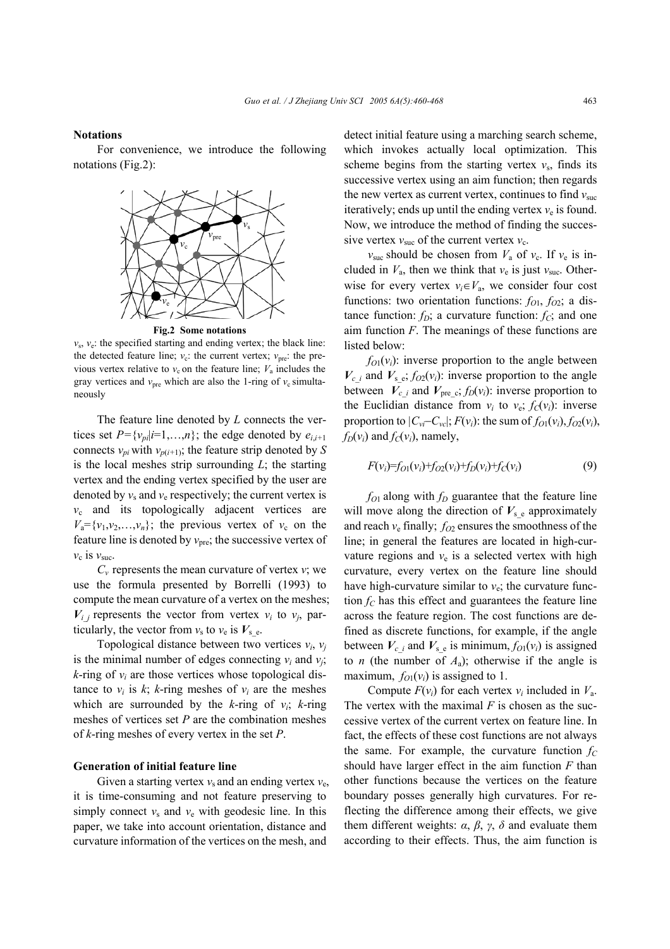#### **Notations**

For convenience, we introduce the following notations (Fig.2):



**Fig.2 Some notations** 

 $v_s$ ,  $v_e$ : the specified starting and ending vertex; the black line: the detected feature line;  $v_c$ : the current vertex;  $v_{pre}$ : the previous vertex relative to  $v_c$  on the feature line;  $V_a$  includes the gray vertices and  $v_{\text{pre}}$  which are also the 1-ring of  $v_c$  simultaneously

The feature line denoted by *L* connects the vertices set  $P = \{v_{pi}|i=1,\ldots,n\}$ ; the edge denoted by  $e_{i,i+1}$ connects  $v_{pi}$  with  $v_{p(i+1)}$ ; the feature strip denoted by *S* is the local meshes strip surrounding *L*; the starting vertex and the ending vertex specified by the user are denoted by  $v_s$  and  $v_e$  respectively; the current vertex is  $v_c$  and its topologically adjacent vertices are  $V_a = \{v_1, v_2, \ldots, v_n\}$ ; the previous vertex of  $v_c$  on the feature line is denoted by  $v_{\text{pre}}$ ; the successive vertex of  $v_c$  is  $v_{\text{succ}}$ .

 $C_v$  represents the mean curvature of vertex *v*; we use the formula presented by Borrelli (1993) to compute the mean curvature of a vertex on the meshes;  $V_i$  *j* represents the vector from vertex  $v_i$  to  $v_j$ , particularly, the vector from  $v_s$  to  $v_e$  is  $V_s$ <sub>e</sub>.

Topological distance between two vertices  $v_i$ ,  $v_j$ is the minimal number of edges connecting  $v_i$  and  $v_i$ ;  $k$ -ring of  $v_i$  are those vertices whose topological distance to  $v_i$  is  $k$ ;  $k$ -ring meshes of  $v_i$  are the meshes which are surrounded by the *k*-ring of  $v_i$ ; *k*-ring meshes of vertices set *P* are the combination meshes of *k*-ring meshes of every vertex in the set *P*.

## **Generation of initial feature line**

Given a starting vertex  $v_s$  and an ending vertex  $v_e$ , it is time-consuming and not feature preserving to simply connect  $v_s$  and  $v_e$  with geodesic line. In this paper, we take into account orientation, distance and curvature information of the vertices on the mesh, and

detect initial feature using a marching search scheme, which invokes actually local optimization. This scheme begins from the starting vertex  $v_s$ , finds its successive vertex using an aim function; then regards the new vertex as current vertex, continues to find  $v_{\text{succ}}$ iteratively; ends up until the ending vertex  $v_e$  is found. Now, we introduce the method of finding the successive vertex  $v_{\text{suc}}$  of the current vertex  $v_{\text{c}}$ .

 $v_{\text{suc}}$  should be chosen from  $V_a$  of  $v_c$ . If  $v_e$  is included in  $V_a$ , then we think that  $v_e$  is just  $v_{\text{succ}}$ . Otherwise for every vertex  $v_i \in V_a$ , we consider four cost functions: two orientation functions:  $f_{O1}$ ,  $f_{O2}$ ; a distance function:  $f_D$ ; a curvature function:  $f_C$ ; and one aim function *F*. The meanings of these functions are listed below:

 $f_{O1}(v_i)$ : inverse proportion to the angle between  $V_c$  *i* and  $V_s$  e,  $f_{O2}(v_i)$ : inverse proportion to the angle between  $V_c$  *i* and  $V_{\text{pre}}$  *c*;  $f_D(v_i)$ : inverse proportion to the Euclidian distance from  $v_i$  to  $v_{e}$ ;  $f_c(v_i)$ : inverse proportion to  $|C_{vi}-C_{vc}|$ ;  $F(v_i)$ : the sum of  $f_{O1}(v_i)$ ,  $f_{O2}(v_i)$ ,  $f_D(v_i)$  and  $f_C(v_i)$ , namely,

$$
F(v_i)=f_{O1}(v_i)+f_{O2}(v_i)+f_{D}(v_i)+f_{C}(v_i)
$$
\n(9)

 $f_{O1}$  along with  $f_D$  guarantee that the feature line will move along the direction of  $V<sub>s</sub>$ <sub>e</sub> approximately and reach  $v_e$  finally;  $f_{O2}$  ensures the smoothness of the line; in general the features are located in high-curvature regions and  $v_e$  is a selected vertex with high curvature, every vertex on the feature line should have high-curvature similar to  $v_{e}$ ; the curvature function  $f_C$  has this effect and guarantees the feature line across the feature region. The cost functions are defined as discrete functions, for example, if the angle between  $V_c$  *i* and  $V_s$  *e* is minimum,  $f_{O1}(v_i)$  is assigned to *n* (the number of  $A<sub>a</sub>$ ); otherwise if the angle is maximum,  $f_{O1}(v_i)$  is assigned to 1.

Compute  $F(v_i)$  for each vertex  $v_i$  included in  $V_a$ . The vertex with the maximal *F* is chosen as the successive vertex of the current vertex on feature line. In fact, the effects of these cost functions are not always the same. For example, the curvature function  $f_C$ should have larger effect in the aim function *F* than other functions because the vertices on the feature boundary posses generally high curvatures. For reflecting the difference among their effects, we give them different weights:  $\alpha$ ,  $\beta$ ,  $\gamma$ ,  $\delta$  and evaluate them according to their effects. Thus, the aim function is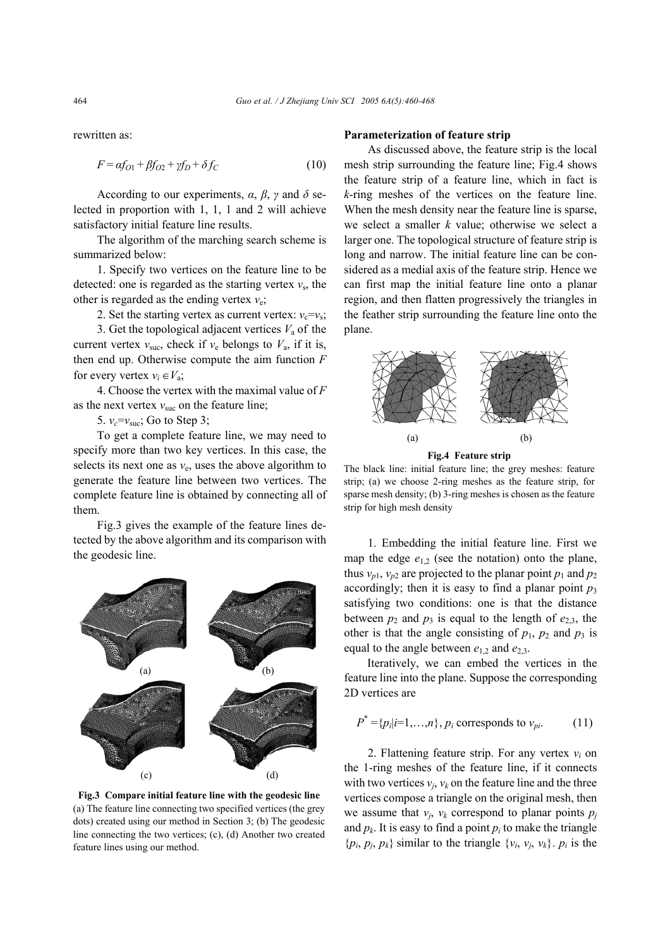rewritten as:

$$
F = \alpha f_{O1} + \beta f_{O2} + \gamma f_D + \delta f_C \tag{10}
$$

According to our experiments,  $\alpha$ ,  $\beta$ ,  $\gamma$  and  $\delta$  selected in proportion with 1, 1, 1 and 2 will achieve satisfactory initial feature line results.

The algorithm of the marching search scheme is summarized below:

1. Specify two vertices on the feature line to be detected: one is regarded as the starting vertex  $v<sub>s</sub>$ , the other is regarded as the ending vertex  $v_e$ ;

2. Set the starting vertex as current vertex:  $v_c = v_s$ ;

3. Get the topological adjacent vertices  $V_a$  of the current vertex  $v_{\text{suc}}$ , check if  $v_e$  belongs to  $V_a$ , if it is, then end up. Otherwise compute the aim function *F* for every vertex  $v_i \in V_a$ ;

4. Choose the vertex with the maximal value of *F* as the next vertex  $v_{\text{suc}}$  on the feature line;

5.  $v_c = v_{\text{succ}}$ ; Go to Step 3;

To get a complete feature line, we may need to specify more than two key vertices. In this case, the selects its next one as  $v_e$ , uses the above algorithm to generate the feature line between two vertices. The complete feature line is obtained by connecting all of them.

Fig.3 gives the example of the feature lines detected by the above algorithm and its comparison with the geodesic line.



**Fig.3 Compare initial feature line with the geodesic line** (a) The feature line connecting two specified vertices (the grey dots) created using our method in Section 3; (b) The geodesic line connecting the two vertices; (c), (d) Another two created feature lines using our method.

### **Parameterization of feature strip**

As discussed above, the feature strip is the local mesh strip surrounding the feature line; Fig.4 shows the feature strip of a feature line, which in fact is *k*-ring meshes of the vertices on the feature line. When the mesh density near the feature line is sparse, we select a smaller *k* value; otherwise we select a larger one. The topological structure of feature strip is long and narrow. The initial feature line can be considered as a medial axis of the feature strip. Hence we can first map the initial feature line onto a planar region, and then flatten progressively the triangles in the feather strip surrounding the feature line onto the plane.



The black line: initial feature line; the grey meshes: feature strip; (a) we choose 2-ring meshes as the feature strip, for sparse mesh density; (b) 3-ring meshes is chosen as the feature strip for high mesh density

1. Embedding the initial feature line. First we map the edge  $e_{1,2}$  (see the notation) onto the plane, thus  $v_{p1}$ ,  $v_{p2}$  are projected to the planar point  $p_1$  and  $p_2$ accordingly; then it is easy to find a planar point  $p_3$ satisfying two conditions: one is that the distance between  $p_2$  and  $p_3$  is equal to the length of  $e_{2,3}$ , the other is that the angle consisting of  $p_1$ ,  $p_2$  and  $p_3$  is equal to the angle between  $e_1$ , and  $e_2$ ,

Iteratively, we can embed the vertices in the feature line into the plane. Suppose the corresponding 2D vertices are

$$
P^* = \{p_i|i=1,\ldots,n\}, p_i \text{ corresponds to } v_{pi}. \tag{11}
$$

2. Flattening feature strip. For any vertex  $v_i$  on the 1-ring meshes of the feature line, if it connects with two vertices  $v_i$ ,  $v_k$  on the feature line and the three vertices compose a triangle on the original mesh, then we assume that  $v_i$ ,  $v_k$  correspond to planar points  $p_i$ and  $p_k$ . It is easy to find a point  $p_i$  to make the triangle  $\{p_i, p_j, p_k\}$  similar to the triangle  $\{v_i, v_j, v_k\}$ .  $p_i$  is the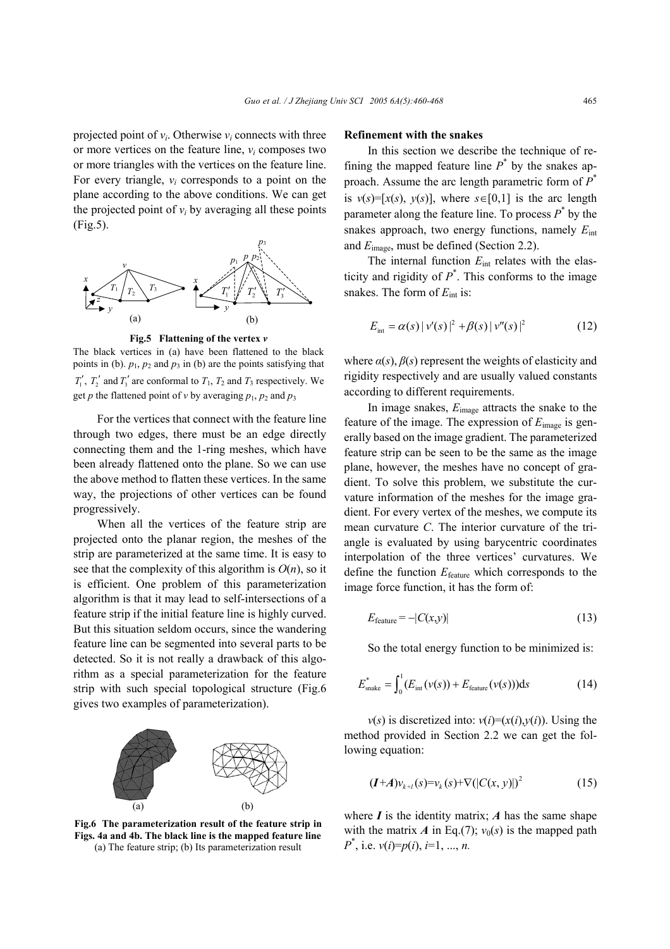projected point of  $v_i$ . Otherwise  $v_i$  connects with three or more vertices on the feature line, *vi* composes two or more triangles with the vertices on the feature line. For every triangle, *vi* corresponds to a point on the plane according to the above conditions. We can get the projected point of  $v_i$  by averaging all these points (Fig.5).



**Fig.5 Flattening of the vertex** *v*

The black vertices in (a) have been flattened to the black points in (b).  $p_1$ ,  $p_2$  and  $p_3$  in (b) are the points satisfying that  $T_1'$ ,  $T_2'$  and  $T_3'$  are conformal to  $T_1$ ,  $T_2$  and  $T_3$  respectively. We get *p* the flattened point of *v* by averaging  $p_1$ ,  $p_2$  and  $p_3$ 

For the vertices that connect with the feature line through two edges, there must be an edge directly connecting them and the 1-ring meshes, which have been already flattened onto the plane. So we can use the above method to flatten these vertices. In the same way, the projections of other vertices can be found progressively.

When all the vertices of the feature strip are projected onto the planar region, the meshes of the strip are parameterized at the same time. It is easy to see that the complexity of this algorithm is  $O(n)$ , so it is efficient. One problem of this parameterization algorithm is that it may lead to self-intersections of a feature strip if the initial feature line is highly curved. But this situation seldom occurs, since the wandering feature line can be segmented into several parts to be detected. So it is not really a drawback of this algorithm as a special parameterization for the feature strip with such special topological structure (Fig.6 gives two examples of parameterization).



**Fig.6 The parameterization result of the feature strip in Figs. 4a and 4b. The black line is the mapped feature line** (a) The feature strip; (b) Its parameterization result

## **Refinement with the snakes**

In this section we describe the technique of refining the mapped feature line  $P^*$  by the snakes approach. Assume the arc length parametric form of *P*\* is  $v(s) = [x(s), y(s)]$ , where  $s \in [0,1]$  is the arc length parameter along the feature line. To process  $P^*$  by the snakes approach, two energy functions, namely *E*int and *E*image, must be defined (Section 2.2).

The internal function *E*int relates with the elasticity and rigidity of  $P^*$ . This conforms to the image snakes. The form of  $E_{\text{int}}$  is:

$$
E_{\text{int}} = \alpha(s) |v'(s)|^2 + \beta(s) |v''(s)|^2 \tag{12}
$$

where  $\alpha(s)$ ,  $\beta(s)$  represent the weights of elasticity and rigidity respectively and are usually valued constants according to different requirements.

In image snakes, *E*image attracts the snake to the feature of the image. The expression of *E*image is generally based on the image gradient. The parameterized feature strip can be seen to be the same as the image plane, however, the meshes have no concept of gradient. To solve this problem, we substitute the curvature information of the meshes for the image gradient. For every vertex of the meshes, we compute its mean curvature *C*. The interior curvature of the triangle is evaluated by using barycentric coordinates interpolation of the three vertices' curvatures. We define the function *E*feature which corresponds to the image force function, it has the form of:

$$
E_{\text{feature}} = -|C(x, y)| \tag{13}
$$

So the total energy function to be minimized is:

$$
E_{\text{snake}}^* = \int_0^1 (E_{\text{int}}(\nu(s)) + E_{\text{feature}}(\nu(s))) \, \mathrm{d}s \tag{14}
$$

 $v(s)$  is discretized into:  $v(i)=(x(i),y(i))$ . Using the method provided in Section 2.2 we can get the following equation:

$$
(I+A)v_{k+l}(s) = v_k(s) + \nabla(|C(x, y)|)^2 \tag{15}
$$

where  $I$  is the identity matrix;  $A$  has the same shape with the matrix *A* in Eq.(7);  $v_0(s)$  is the mapped path *P*\* , i.e. *v*(*i*)=*p*(*i*), *i*=1, ..., *n.*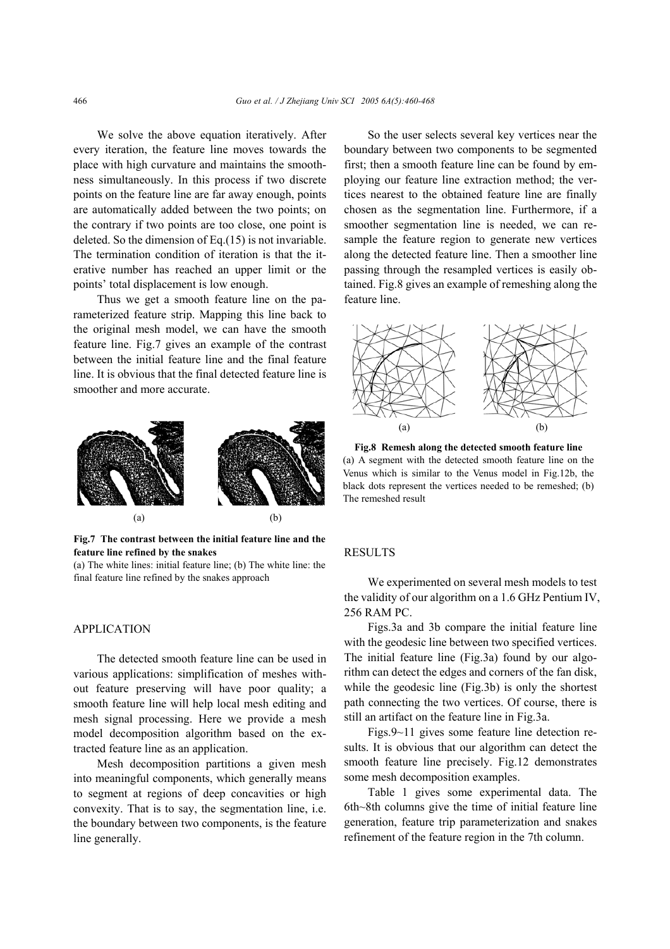We solve the above equation iteratively. After every iteration, the feature line moves towards the place with high curvature and maintains the smoothness simultaneously. In this process if two discrete points on the feature line are far away enough, points are automatically added between the two points; on the contrary if two points are too close, one point is deleted. So the dimension of Eq.(15) is not invariable. The termination condition of iteration is that the iterative number has reached an upper limit or the points' total displacement is low enough.

Thus we get a smooth feature line on the parameterized feature strip. Mapping this line back to the original mesh model, we can have the smooth feature line. Fig.7 gives an example of the contrast between the initial feature line and the final feature line. It is obvious that the final detected feature line is smoother and more accurate.



**Fig.7 The contrast between the initial feature line and the feature line refined by the snakes** 

(a) The white lines: initial feature line; (b) The white line: the final feature line refined by the snakes approach

## APPLICATION

The detected smooth feature line can be used in various applications: simplification of meshes without feature preserving will have poor quality; a smooth feature line will help local mesh editing and mesh signal processing. Here we provide a mesh model decomposition algorithm based on the extracted feature line as an application.

Mesh decomposition partitions a given mesh into meaningful components, which generally means to segment at regions of deep concavities or high convexity. That is to say, the segmentation line, i.e. the boundary between two components, is the feature line generally.

So the user selects several key vertices near the boundary between two components to be segmented first; then a smooth feature line can be found by employing our feature line extraction method; the vertices nearest to the obtained feature line are finally chosen as the segmentation line. Furthermore, if a smoother segmentation line is needed, we can resample the feature region to generate new vertices along the detected feature line. Then a smoother line passing through the resampled vertices is easily obtained. Fig.8 gives an example of remeshing along the feature line.



**Fig.8 Remesh along the detected smooth feature line** (a) A segment with the detected smooth feature line on the Venus which is similar to the Venus model in Fig.12b, the black dots represent the vertices needed to be remeshed; (b) The remeshed result

## RESULTS

We experimented on several mesh models to test the validity of our algorithm on a 1.6 GHz Pentium IV, 256 RAM PC.

Figs.3a and 3b compare the initial feature line with the geodesic line between two specified vertices. The initial feature line (Fig.3a) found by our algorithm can detect the edges and corners of the fan disk, while the geodesic line (Fig.3b) is only the shortest path connecting the two vertices. Of course, there is still an artifact on the feature line in Fig.3a.

Figs.9~11 gives some feature line detection results. It is obvious that our algorithm can detect the smooth feature line precisely. Fig.12 demonstrates some mesh decomposition examples.

Table 1 gives some experimental data. The 6th~8th columns give the time of initial feature line generation, feature trip parameterization and snakes refinement of the feature region in the 7th column.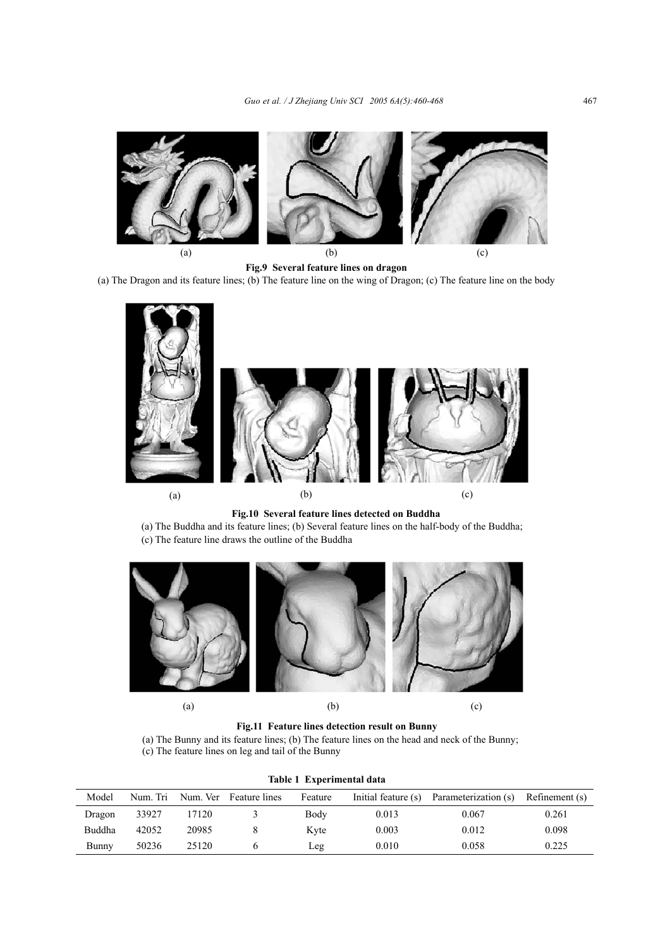

**Fig.9 Several feature lines on dragon**  (a) The Dragon and its feature lines; (b) The feature line on the wing of Dragon; (c) The feature line on the body



**Fig.10 Several feature lines detected on Buddha** 

(a) The Buddha and its feature lines; (b) Several feature lines on the half-body of the Buddha; (c) The feature line draws the outline of the Buddha



**Fig.11 Feature lines detection result on Bunny** 

(a) The Bunny and its feature lines; (b) The feature lines on the head and neck of the Bunny; (c) The feature lines on leg and tail of the Bunny

| Table 1 Experimental data |          |       |                        |         |                     |                      |                |
|---------------------------|----------|-------|------------------------|---------|---------------------|----------------------|----------------|
| Model                     | Num. Tri |       | Num. Ver Feature lines | Feature | Initial feature (s) | Parameterization (s) | Refinement (s) |
| Dragon                    | 33927    | 17120 |                        | Body    | 0.013               | 0.067                | 0.261          |
| Buddha                    | 42052    | 20985 |                        | Kyte    | 0.003               | 0.012                | 0.098          |
| Bunny                     | 50236    | 25120 |                        | Leg     | 0.010               | 0.058                | 0.225          |